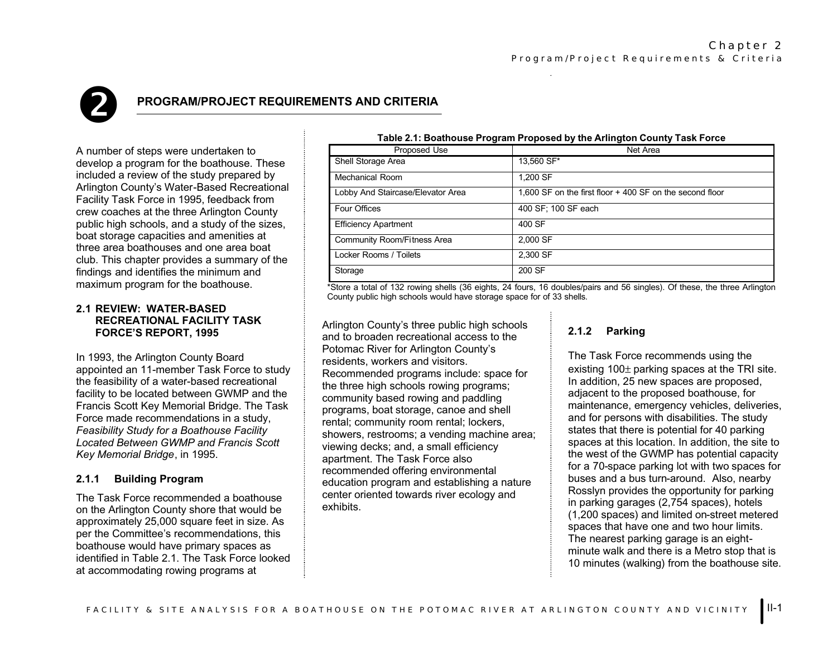

# **PROGRAM/PROJECT REQUIREMENTS AND CRITERIA**

A number of steps were undertaken to develop a program for the boathouse. These included a review of the study prepared by Arlington County's Water-Based Recreational Facility Task Force in 1995, feedback from crew coaches at the three Arlington County public high schools, and a study of the sizes, boat storage capacities and amenities at three area boathouses and one area boat club. This chapter provides a summary of the findings and identifies the minimum and maximum program for the boathouse.

### **2.1 REVIEW: WATER-BASEDRECREATIONAL FACILITY TASK FORCE'S REPORT, 1995**

In 1993, the Arlington County Board appointed an 11-member Task Force to study the feasibility of a water-based recreational facility to be located between GWMP and the Francis Scott Key Memorial Bridge. The Task Force made recommendations in a study, *Feasibility Study for a Boathouse Facility Located Between GWMP and Francis Scott Key Memorial Bridge*, in 1995.

### **2.1.1 Building Program**

The Task Force recommended a boathouse on the Arlington County shore that would be approximately 25,000 square feet in size. As per the Committee's recommendations, this boathouse would have primary spaces as identified in Table 2.1. The Task Force looked at accommodating rowing programs at

| Table 2.1: Boathouse Program Proposed by the Arlington County Task Force |                                                          |  |  |
|--------------------------------------------------------------------------|----------------------------------------------------------|--|--|
| Proposed Use                                                             | Net Area                                                 |  |  |
| Shell Storage Area                                                       | 13,560 SF*                                               |  |  |
| Mechanical Room                                                          | 1.200 SF                                                 |  |  |
| Lobby And Staircase/Elevator Area                                        | 1,600 SF on the first floor + 400 SF on the second floor |  |  |
| Four Offices                                                             | 400 SF; 100 SF each                                      |  |  |
| <b>Efficiency Apartment</b>                                              | 400 SF                                                   |  |  |
| Community Room/Fitness Area                                              | 2.000 SF                                                 |  |  |
| Locker Rooms / Toilets                                                   | 2.300 SF                                                 |  |  |
| Storage                                                                  | 200 SF                                                   |  |  |

\*Store a total of 132 rowing shells (36 eights, 24 fours, 16 doubles/pairs and 56 singles). Of these, the three Arlington County public high schools would have storage space for of 33 shells.

Arlington County's three public high schools and to broaden recreational access to the Potomac River for Arlington County's residents, workers and visitors. Recommended programs include: space for the three high schools rowing programs; community based rowing and paddling programs, boat storage, canoe and shell rental; community room rental; lockers, showers, restrooms; a vending machine area; viewing decks; and, a small efficiency apartment. The Task Force also recommended offering environmental education program and establishing a nature center oriented towards river ecology and exhibits.

# **2.1.2 Parking**

The Task Force recommends using the existing 100 <sup>±</sup> parking spaces at the TRI site. In addition, 25 new spaces are proposed, adjacent to the proposed boathouse, for maintenance, emergency vehicles, deliveries, and for persons with disabilities. The study states that there is potential for 40 parking spaces at this location. In addition, the site to the west of the GWMP has potential capacity for a 70-space parking lot with two spaces for buses and a bus turn-around. Also, nearby Rosslyn provides the opportunity for parking in parking garages (2,754 spaces), hotels (1,200 spaces) and limited on-street metered spaces that have one and two hour limits. The nearest parking garage is an eightminute walk and there is a Metro stop that is 10 minutes (walking) from the boathouse site.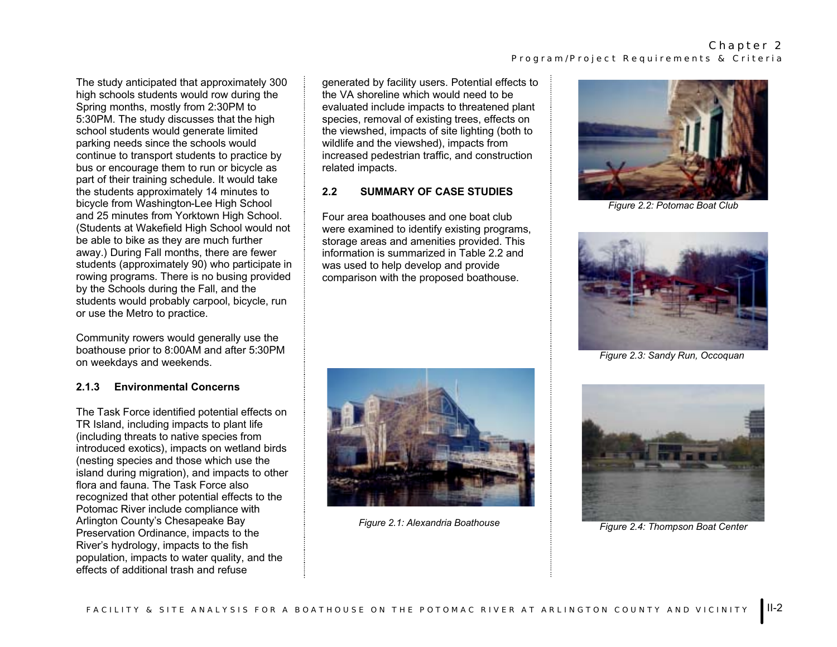The study anticipated that approximately 300 high schools students would row during the Spring months, mostly from 2:30PM to 5:30PM. The study discusses that the high school students would generate limited parking needs since the schools would continue to transport students to practice by bus or encourage them to run or bicycle as part of their training schedule. It would take the students approximately 14 minutes to bicycle from Washington-Lee High School and 25 minutes from Yorktown High School. (Students at Wakefield High School would not be able to bike as they are much further away.) During Fall months, there are fewer students (approximately 90) who participate in rowing programs. There is no busing provided by the Schools during the Fall, and the students would probably carpool, bicycle, run or use the Metro to practice.

Community rowers would generally use the boathouse prior to 8:00AM and after 5:30PM on weekdays and weekends.

# **2.1.3 Environmental Concerns**

The Task Force identified potential effects on TR Island, including impacts to plant life (including threats to native species from introduced exotics), impacts on wetland birds (nesting species and those which use the island during migration), and impacts to other flora and fauna. The Task Force also recognized that other potential effects to the Potomac River include compliance with Arlington County's Chesapeake Bay Preservation Ordinance, impacts to the River's hydrology, impacts to the fish population, impacts to water quality, and the effects of additional trash and refuse

generated by facility users. Potential effects to the VA shoreline which would need to be evaluated include impacts to threatened plant species, removal of existing trees, effects on the viewshed, impacts of site lighting (both to wildlife and the viewshed), impacts from increased pedestrian traffic, and construction related impacts.

# **2.2 SUMMARY OF CASE STUDIES**

Four area boathouses and one boat club were examined to identify existing programs, storage areas and amenities provided. This information is summarized in Table 2.2 and was used to help develop and provide comparison with the proposed boathouse.



*Figure 2.1: Alexandria Boathouse*



*Figure 2.2: Potomac Boat Club*



*Figure 2.3: Sandy Run, Occoquan*



*Figure 2.4: Thompson Boat Center*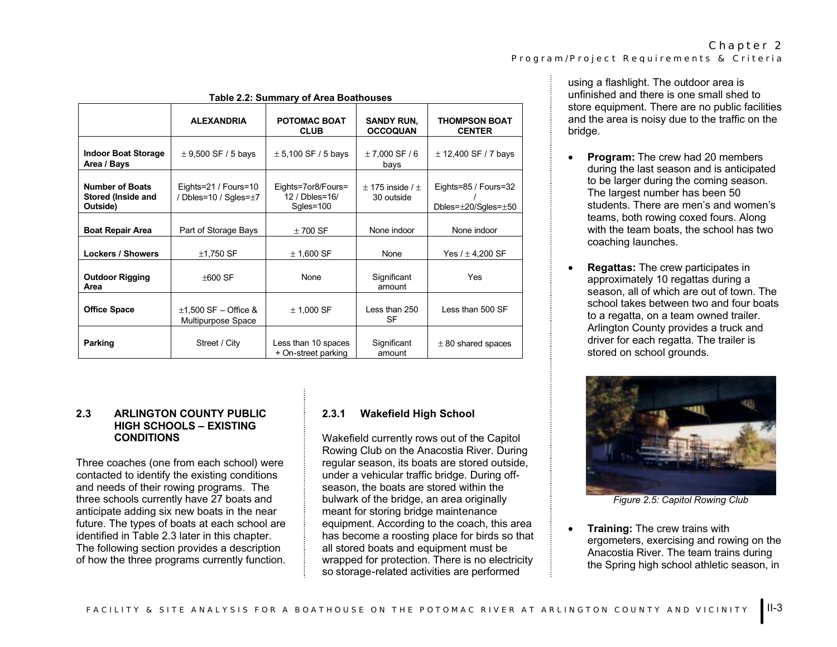| <b>Table 2.2: Summary of Area Boathouses</b>             |                                                        |                                                   |                                      |                                                         |
|----------------------------------------------------------|--------------------------------------------------------|---------------------------------------------------|--------------------------------------|---------------------------------------------------------|
|                                                          | <b>ALEXANDRIA</b>                                      | POTOMAC BOAT<br><b>CLUB</b>                       | <b>SANDY RUN,</b><br><b>OCCOQUAN</b> | <b>THOMPSON BOAT</b><br><b>CENTER</b>                   |
| <b>Indoor Boat Storage</b><br>Area / Bays                | $\pm$ 9,500 SF / 5 bays                                | $± 5,100$ SF / 5 bays                             | $± 7,000$ SF / 6<br>bays             | $±$ 12,400 SF / 7 bays                                  |
| <b>Number of Boats</b><br>Stored (Inside and<br>Outside) | Eights=21 / Fours=10<br>/ Dbles=10 / Sqles= $\pm 7$    | Eights=7or8/Fours=<br>12 / Dbles=16/<br>Sgles=100 | $+$ 175 inside / $+$<br>30 outside   | Eights=85 / Fours=32<br>Dbles= $\pm$ 20/Sqles= $\pm$ 50 |
| <b>Boat Repair Area</b>                                  | Part of Storage Bays                                   | $±700$ SF                                         | None indoor                          | None indoor                                             |
| <b>Lockers / Showers</b>                                 | $±1,750$ SF                                            | $±$ 1,600 SF                                      | None                                 | Yes $/ \pm 4,200$ SF                                    |
| <b>Outdoor Rigging</b><br>Area                           | $\pm 600$ SF                                           | None                                              | Significant<br>amount                | Yes                                                     |
| <b>Office Space</b>                                      | $\pm$ 1,500 SF – Office &<br><b>Multipurpose Space</b> | $±$ 1,000 SF                                      | Less than 250<br><b>SF</b>           | Less than 500 SF                                        |
| Parking                                                  | Street / City                                          | Less than 10 spaces<br>+ On-street parking        | Significant<br>amount                | $\pm$ 80 shared spaces                                  |

# **2.3 ARLINGTON COUNTY PUBLIC HIGH SCHOOLS – EXISTING CONDITIONS**

Three coaches (one from each school) were contacted to identify the existing conditions and needs of their rowing programs. The three schools currently have 27 boats and anticipate adding six new boats in the near future. The types of boats at each school are identified in Table 2.3 later in this chapter. The following section provides a description of how the three programs currently function.

# **2.3.1 Wakefield High School**

Wakefield currently rows out of the Capitol Rowing Club on the Anacostia River. During regular season, its boats are stored outside, under a vehicular traffic bridge. During offseason, the boats are stored within the bulwark of the bridge, an area originally meant for storing bridge maintenance equipment. According to the coach, this area has become a roosting place for birds so that all stored boats and equipment must be wrapped for protection. There is no electricity so storage-related activities are performed

using a flashlight. The outdoor area is unfinished and there is one small shed to store equipment. There are no public facilities and the area is noisy due to the traffic on the bridge.

- • **Program:** The crew had 20 members during the last season and is anticipated to be larger during the coming season. The largest number has been 50 students. There are men's and women's teams, both rowing coxed fours. Along with the team boats, the school has two coaching launches.
- • **Regattas:** The crew participates in approximately 10 regattas during a season, all of which are out of town. The school takes between two and four boats to a regatta, on a team owned trailer. Arlington County provides a truck and driver for each regatta. The trailer is stored on school grounds.



*Figure 2.5: Capitol Rowing Club*

• **Training:** The crew trains with ergometers, exercising and rowing on the Anacostia River. The team trains during the Spring high school athletic season, in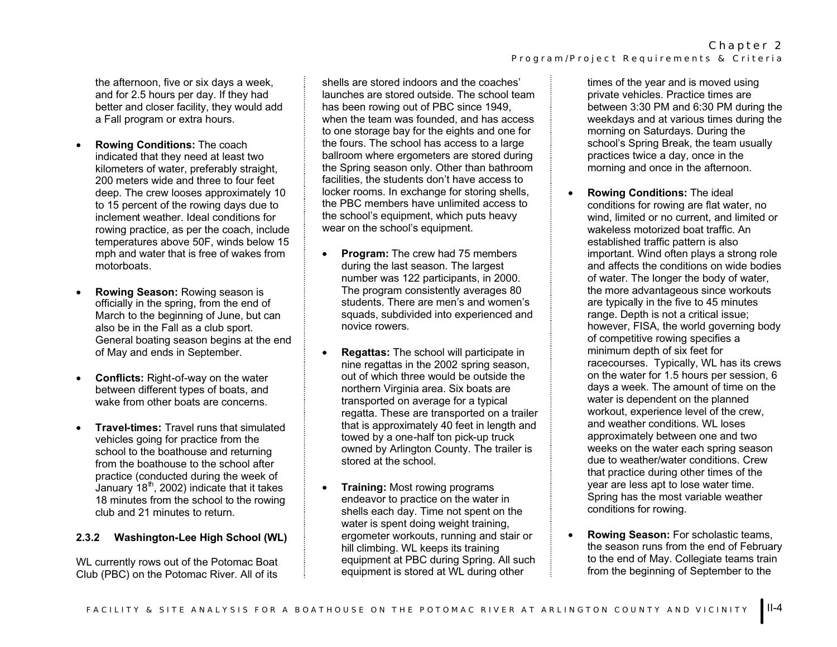the afternoon, five or six days a week, and for 2.5 hours per day. If they had better and closer facility, they would add a Fall program or extra hours.

- • **Rowing Conditions:** The coach indicated that they need at least two kilometers of water, preferably straight, 200 meters wide and three to four feet deep. The crew looses approximately 10 to 15 percent of the rowing days due to inclement weather. Ideal conditions for rowing practice, as per the coach, include temperatures above 50F, winds below 15 mph and water that is free of wakes from motorboats.
- • **Rowing Season:** Rowing season is officially in the spring, from the end of March to the beginning of June, but can also be in the Fall as a club sport. General boating season begins at the end of May and ends in September.
- • **Conflicts:** Right-of-way on the water between different types of boats, and wake from other boats are concerns.
- • **Travel-times:** Travel runs that simulated vehicles going for practice from the school to the boathouse and returning from the boathouse to the school after practice (conducted during the week of January  $18<sup>th</sup>$ , 2002) indicate that it takes 18 minutes from the school to the rowing club and 21 minutes to return.

# **2.3.2 Washington-Lee High School (WL)**

WL currently rows out of the Potomac Boat Club (PBC) on the Potomac River. All of its

shells are stored indoors and the coaches' launches are stored outside. The school team has been rowing out of PBC since 1949, when the team was founded, and has access to one storage bay for the eights and one for the fours. The school has access to a large ballroom where ergometers are stored during the Spring season only. Other than bathroom facilities, the students don't have access to locker rooms. In exchange for storing shells, the PBC members have unlimited access to the school's equipment, which puts heavy wear on the school's equipment.

- • **Program:** The crew had 75 members during the last season. The largest number was 122 participants, in 2000. The program consistently averages 80 students. There are men's and women's squads, subdivided into experienced and novice rowers.
- • **Regattas:** The school will participate in nine regattas in the 2002 spring season, out of which three would be outside the northern Virginia area. Six boats are transported on average for a typical regatta. These are transported on a trailer that is approximately 40 feet in length and towed by a one-half ton pick-up truck owned by Arlington County. The trailer is stored at the school.
- • **Training:** Most rowing programs endeavor to practice on the water in shells each day. Time not spent on the water is spent doing weight training, ergometer workouts, running and stair or hill climbing. WL keeps its training equipment at PBC during Spring. All such equipment is stored at WL during other

times of the year and is moved using private vehicles. Practice times are between 3:30 PM and 6:30 PM during the weekdays and at various times during the morning on Saturdays. During the school's Spring Break, the team usually practices twice a day, once in the morning and once in the afternoon.

- • **Rowing Conditions:** The ideal conditions for rowing are flat water, no wind, limited or no current, and limited or wakeless motorized boat traffic. An established traffic pattern is also important. Wind often plays a strong role and affects the conditions on wide bodies of water. The longer the body of water, the more advantageous since workouts are typically in the five to 45 minutes range. Depth is not a critical issue; however, FISA, the world governing body of competitive rowing specifies a minimum depth of six feet for racecourses. Typically, WL has its crews on the water for 1.5 hours per session, 6 days a week. The amount of time on the water is dependent on the planned workout, experience level of the crew, and weather conditions. WL loses approximately between one and two weeks on the water each spring season due to weather/water conditions. Crew that practice during other times of the year are less apt to lose water time. Spring has the most variable weather conditions for rowing.
- • **Rowing Season:** For scholastic teams, the season runs from the end of February to the end of May. Collegiate teams train from the beginning of September to the

Chapter 2 Program/Project Requirements & Criteria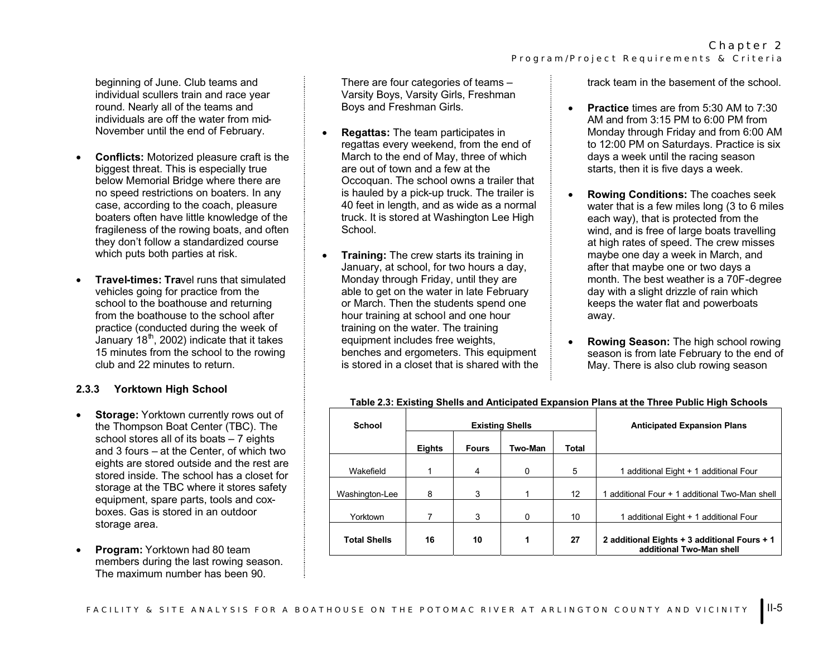beginning of June. Club teams and individual scullers train and race year round. Nearly all of the teams and individuals are off the water from mid-November until the end of February.

- • **Conflicts:** Motorized pleasure craft is the biggest threat. This is especially true below Memorial Bridge where there are no speed restrictions on boaters. In any case, according to the coach, pleasure boaters often have little knowledge of the fragileness of the rowing boats, and often they don't follow a standardized course which puts both parties at risk.
- • **Travel-times: Tra**vel runs that simulated vehicles going for practice from the school to the boathouse and returning from the boathouse to the school after practice (conducted during the week of January  $18<sup>th</sup>$ , 2002) indicate that it takes 15 minutes from the school to the rowing club and 22 minutes to return.

### **2.3.3 Yorktown High School**

- • **Storage:** Yorktown currently rows out of the Thompson Boat Center (TBC). The school stores all of its boats – 7 eights and 3 fours – at the Center, of which two eights are stored outside and the rest are stored inside. The school has a closet for storage at the TBC where it stores safety equipment, spare parts, tools and coxboxes. Gas is stored in an outdoor storage area.
- • **Program:** Yorktown had 80 team members during the last rowing season. The maximum number has been 90.

There are four categories of teams – Varsity Boys, Varsity Girls, Freshman Boys and Freshman Girls.

- • **Regattas:** The team participates in regattas every weekend, from the end of March to the end of May, three of which are out of town and a few at the Occoquan. The school owns a trailer that is hauled by a pick-up truck. The trailer is 40 feet in length, and as wide as a normal truck. It is stored at Washington Lee High School.
- • **Training:** The crew starts its training in January, at school, for two hours a day, Monday through Friday, until they are able to get on the water in late February or March. Then the students spend one hour training at school and one hour training on the water. The training equipment includes free weights, benches and ergometers. This equipment is stored in a closet that is shared with the

track team in the basement of the school.

- • **Practice** times are from 5:30 AM to 7:30 AM and from 3:15 PM to 6:00 PM from Monday through Friday and from 6:00 AM to 12:00 PM on Saturdays. Practice is six days a week until the racing season starts, then it is five days a week.
- • **Rowing Conditions:** The coaches seek water that is a few miles long (3 to 6 miles each way), that is protected from the wind, and is free of large boats travelling at high rates of speed. The crew misses maybe one day a week in March, and after that maybe one or two days a month. The best weather is a 70F-degree day with a slight drizzle of rain which keeps the water flat and powerboats away.
- • **Rowing Season:** The high school rowing season is from late February to the end of May. There is also club rowing season

| School              | <b>Existing Shells</b> |              |                | <b>Anticipated Expansion Plans</b> |                                                                          |
|---------------------|------------------------|--------------|----------------|------------------------------------|--------------------------------------------------------------------------|
|                     | Eights                 | <b>Fours</b> | <b>Two-Man</b> | <b>Total</b>                       |                                                                          |
| Wakefield           |                        | 4            | 0              | 5                                  | 1 additional Eight + 1 additional Four                                   |
| Washington-Lee      | 8                      | 3            | 1              | 12                                 | 1 additional Four + 1 additional Two-Man shell                           |
| Yorktown            |                        | 3            | 0              | 10                                 | 1 additional Eight + 1 additional Four                                   |
| <b>Total Shells</b> | 16                     | 10           | 1              | 27                                 | 2 additional Eights + 3 additional Fours + 1<br>additional Two-Man shell |

#### **Table 2.3: Existing Shells and Anticipated Expansion Plans at the Three Public High Schools**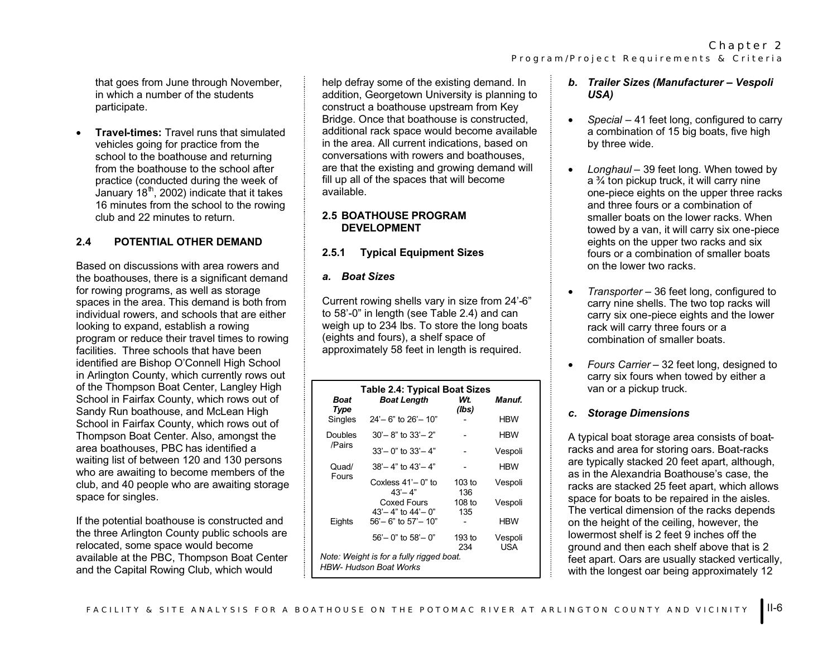that goes from June through November, in which a number of the studentsparticipate.

• **Travel-times:** Travel runs that simulated vehicles going for practice from the school to the boathouse and returning from the boathouse to the school after practice (conducted during the week of January  $18<sup>th</sup>$ , 2002) indicate that it takes 16 minutes from the school to the rowing club and 22 minutes to return.

# **2.4 POTENTIAL OTHER DEMAND**

Based on discussions with area rowers and the boathouses, there is a significant demand for rowing programs, as well as storage spaces in the area. This demand is both from individual rowers, and schools that are either looking to expand, establish a rowing program or reduce their travel times to rowing facilities. Three schools that have been identified are Bishop O'Connell High School in Arlington County, which currently rows out of the Thompson Boat Center, Langley High School in Fairfax County, which rows out of Sandy Run boathouse, and McLean High School in Fairfax County, which rows out of Thompson Boat Center. Also, amongst the area boathouses, PBC has identified a waiting list of between 120 and 130 persons who are awaiting to become members of the club, and 40 people who are awaiting storage space for singles.

If the potential boathouse is constructed and the three Arlington County public schools are relocated, some space would become available at the PBC, Thompson Boat Center and the Capital Rowing Club, which would

help defray some of the existing demand. In addition, Georgetown University is planning to construct a boathouse upstream from Key Bridge. Once that boathouse is constructed, additional rack space would become available in the area. All current indications, based on conversations with rowers and boathouses, are that the existing and growing demand will fill up all of the spaces that will become available.

### **2.5 BOATHOUSE PROGRAM DEVELOPMENT**

# **2.5.1 Typical Equipment Sizes**

### *a. Boat Sizes*

Current rowing shells vary in size from 24'-6" to 58'-0" in length (see Table 2.4) and can weigh up to 234 lbs. To store the long boats (eights and fours), a shelf space of approximately 58 feet in length is required.

| <b>Table 2.4: Typical Boat Sizes</b>                                      |                                         |                 |                     |  |
|---------------------------------------------------------------------------|-----------------------------------------|-----------------|---------------------|--|
| Boat<br>Type                                                              | <b>Boat Length</b>                      | Wt.<br>(lbs)    | <i><b>Manuf</b></i> |  |
| <b>Singles</b>                                                            | $24 - 6$ " to $26 - 10$ "               |                 | <b>HBW</b>          |  |
| Doubles                                                                   | $30' - 8$ " to $33' - 2$ "              |                 | <b>HBW</b>          |  |
| /Pairs                                                                    | $33' - 0$ " to $33' - 4$ "              |                 | Vespoli             |  |
| Quad/                                                                     | $38 - 4$ " to $43 - 4$ "                |                 | <b>HBW</b>          |  |
| Fours                                                                     | Coxless 41'– 0" to<br>$43 - 4"$         | $103$ to<br>136 | Vespoli             |  |
|                                                                           | Coxed Fours<br>$43 - 4$ " to $44 - 0$ " | 108 to<br>135   | Vespoli             |  |
| Eights                                                                    | $56'$ – 6" to $57'$ – 10"               |                 | <b>HBW</b>          |  |
|                                                                           | $56 - 0$ " to $58 - 0$ "                | 193 to<br>234   | Vespoli<br>USA      |  |
| Note: Weight is for a fully rigged boat.<br><b>HBW- Hudson Boat Works</b> |                                         |                 |                     |  |

- *b. Trailer Sizes (Manufacturer Vespoli USA)*
- • *Special* – 41 feet long, configured to carry a combination of 15 big boats, five high by three wide.
- • *Longhaul* – 39 feet long. When towed by a ¾ ton pickup truck, it will carry nine one-piece eights on the upper three racks and three fours or a combination of smaller boats on the lower racks. When towed by a van, it will carry six one-piece eights on the upper two racks and six fours or a combination of smaller boats on the lower two racks.
- • *Transporter* – 36 feet long, configured to carry nine shells. The two top racks will carry six one-piece eights and the lower rack will carry three fours or a combination of smaller boats.
- • *Fours Carrier* – 32 feet long, designed to carry six fours when towed by either a van or a pickup truck.

### *c. Storage Dimensions*

A typical boat storage area consists of boatracks and area for storing oars. Boat-racks are typically stacked 20 feet apart, although, as in the Alexandria Boathouse's case, the racks are stacked 25 feet apart, which allows space for boats to be repaired in the aisles. The vertical dimension of the racks depends on the height of the ceiling, however, the lowermost shelf is 2 feet 9 inches off the ground and then each shelf above that is 2 feet apart. Oars are usually stacked vertically, with the longest oar being approximately 12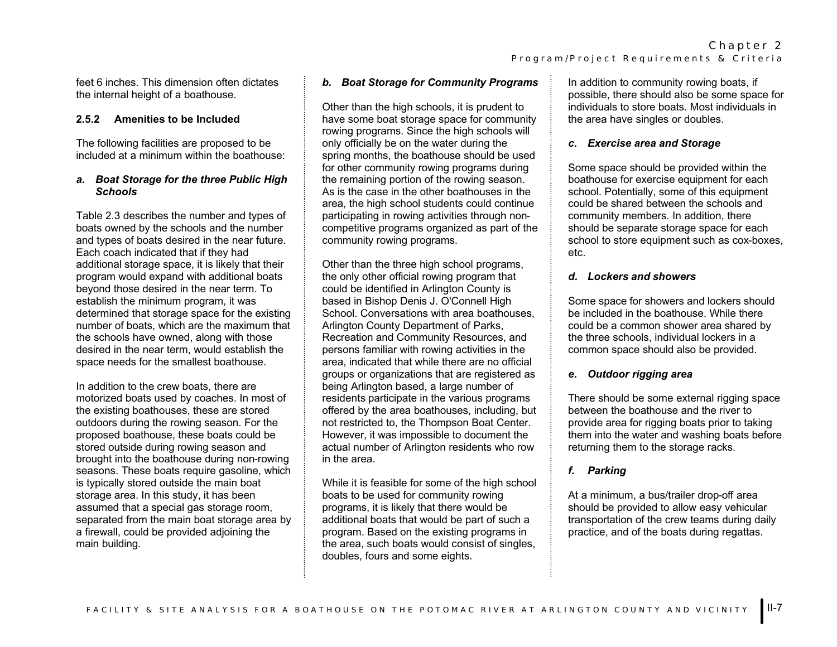feet 6 inches. This dimension often dictates the internal height of a boathouse.

### **2.5.2 Amenities to be Included**

The following facilities are proposed to be included at a minimum within the boathouse:

### *a. Boat Storage for the three Public High Schools*

Table 2.3 describes the number and types of boats owned by the schools and the number and types of boats desired in the near future. Each coach indicated that if they had additional storage space, it is likely that their program would expand with additional boats beyond those desired in the near term. To establish the minimum program, it was determined that storage space for the existing number of boats, which are the maximum that the schools have owned, along with those desired in the near term, would establish the space needs for the smallest boathouse.

In addition to the crew boats, there are motorized boats used by coaches. In most of the existing boathouses, these are stored outdoors during the rowing season. For the proposed boathouse, these boats could be stored outside during rowing season and brought into the boathouse during non-rowing seasons. These boats require gasoline, which is typically stored outside the main boat storage area. In this study, it has been assumed that a special gas storage room, separated from the main boat storage area by a firewall, could be provided adjoining the main building.

# *b. Boat Storage for Community Programs*

Other than the high schools, it is prudent to have some boat storage space for community rowing programs. Since the high schools will only officially be on the water during the spring months, the boathouse should be used for other community rowing programs during the remaining portion of the rowing season. As is the case in the other boathouses in the area, the high school students could continue participating in rowing activities through noncompetitive programs organized as part of the community rowing programs.

Other than the three high school programs, the only other official rowing program that could be identified in Arlington County is based in Bishop Denis J. O'Connell High School. Conversations with area boathouses. Arlington County Department of Parks, Recreation and Community Resources, and persons familiar with rowing activities in the area, indicated that while there are no official groups or organizations that are registered as being Arlington based, a large number of residents participate in the various programs offered by the area boathouses, including, but not restricted to, the Thompson Boat Center. However, it was impossible to document the actual number of Arlington residents who row in the area.

While it is feasible for some of the high school boats to be used for community rowing programs, it is likely that there would be additional boats that would be part of such a program. Based on the existing programs in the area, such boats would consist of singles, doubles, fours and some eights.

In addition to community rowing boats, if possible, there should also be some space for individuals to store boats. Most individuals in the area have singles or doubles.

# *c. Exercise area and Storage*

Some space should be provided within the boathouse for exercise equipment for each school. Potentially, some of this equipment could be shared between the schools and community members. In addition, there should be separate storage space for each school to store equipment such as cox-boxes, etc.

# *d. Lockers and showers*

Some space for showers and lockers should be included in the boathouse. While there could be a common shower area shared by the three schools, individual lockers in a common space should also be provided.

# *e. Outdoor rigging area*

There should be some external rigging space between the boathouse and the river to provide area for rigging boats prior to taking them into the water and washing boats before returning them to the storage racks.

# *f. Parking*

At a minimum, a bus/trailer drop-off area should be provided to allow easy vehicular transportation of the crew teams during daily practice, and of the boats during regattas.